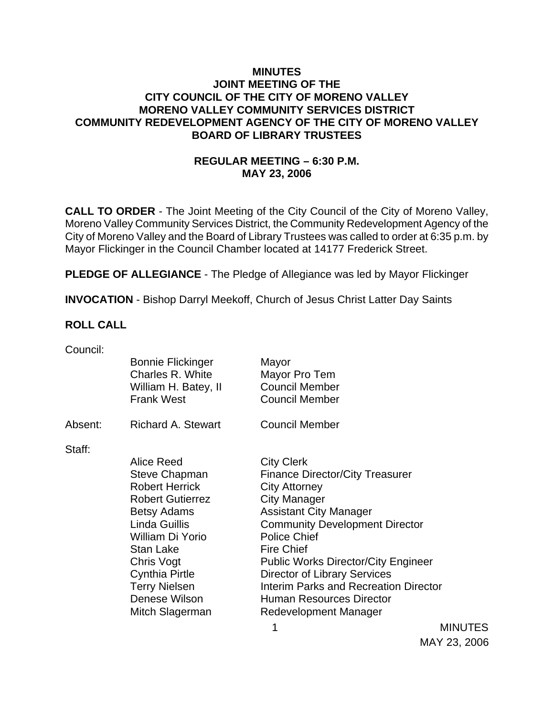## **MINUTES JOINT MEETING OF THE CITY COUNCIL OF THE CITY OF MORENO VALLEY MORENO VALLEY COMMUNITY SERVICES DISTRICT COMMUNITY REDEVELOPMENT AGENCY OF THE CITY OF MORENO VALLEY BOARD OF LIBRARY TRUSTEES**

## **REGULAR MEETING – 6:30 P.M. MAY 23, 2006**

**CALL TO ORDER** - The Joint Meeting of the City Council of the City of Moreno Valley, Moreno Valley Community Services District, the Community Redevelopment Agency of the City of Moreno Valley and the Board of Library Trustees was called to order at 6:35 p.m. by Mayor Flickinger in the Council Chamber located at 14177 Frederick Street.

**PLEDGE OF ALLEGIANCE** - The Pledge of Allegiance was led by Mayor Flickinger

**INVOCATION** - Bishop Darryl Meekoff, Church of Jesus Christ Latter Day Saints

### **ROLL CALL**

| Council: |                                              |                                              |  |
|----------|----------------------------------------------|----------------------------------------------|--|
|          | <b>Bonnie Flickinger</b><br>Charles R. White | Mayor<br>Mayor Pro Tem                       |  |
|          | William H. Batey, II                         | <b>Council Member</b>                        |  |
|          | <b>Frank West</b>                            | <b>Council Member</b>                        |  |
|          |                                              |                                              |  |
| Absent:  | <b>Richard A. Stewart</b>                    | <b>Council Member</b>                        |  |
|          |                                              |                                              |  |
| Staff:   |                                              |                                              |  |
|          | <b>Alice Reed</b>                            | <b>City Clerk</b>                            |  |
|          | Steve Chapman                                | <b>Finance Director/City Treasurer</b>       |  |
|          | <b>Robert Herrick</b>                        | <b>City Attorney</b>                         |  |
|          | <b>Robert Gutierrez</b>                      | <b>City Manager</b>                          |  |
|          | <b>Betsy Adams</b>                           | <b>Assistant City Manager</b>                |  |
|          | Linda Guillis                                | <b>Community Development Director</b>        |  |
|          | William Di Yorio                             | <b>Police Chief</b>                          |  |
|          | <b>Stan Lake</b>                             | <b>Fire Chief</b>                            |  |
|          | Chris Vogt                                   | <b>Public Works Director/City Engineer</b>   |  |
|          | Cynthia Pirtle                               | <b>Director of Library Services</b>          |  |
|          | <b>Terry Nielsen</b>                         | <b>Interim Parks and Recreation Director</b> |  |
|          | Denese Wilson                                | <b>Human Resources Director</b>              |  |
|          | Mitch Slagerman                              | Redevelopment Manager                        |  |
|          |                                              |                                              |  |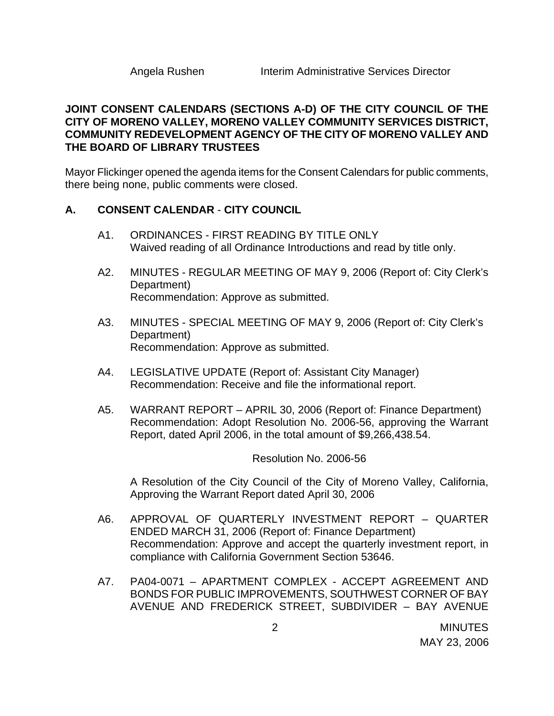## **JOINT CONSENT CALENDARS (SECTIONS A-D) OF THE CITY COUNCIL OF THE CITY OF MORENO VALLEY, MORENO VALLEY COMMUNITY SERVICES DISTRICT, COMMUNITY REDEVELOPMENT AGENCY OF THE CITY OF MORENO VALLEY AND THE BOARD OF LIBRARY TRUSTEES**

Mayor Flickinger opened the agenda items for the Consent Calendars for public comments, there being none, public comments were closed.

### **A. CONSENT CALENDAR** - **CITY COUNCIL**

- A1. ORDINANCES FIRST READING BY TITLE ONLY Waived reading of all Ordinance Introductions and read by title only.
- A2. MINUTES REGULAR MEETING OF MAY 9, 2006 (Report of: City Clerk's Department) Recommendation: Approve as submitted.
- A3. MINUTES SPECIAL MEETING OF MAY 9, 2006 (Report of: City Clerk's Department) Recommendation: Approve as submitted.
- A4. LEGISLATIVE UPDATE (Report of: Assistant City Manager) Recommendation: Receive and file the informational report.
- A5. WARRANT REPORT APRIL 30, 2006 (Report of: Finance Department) Recommendation: Adopt Resolution No. 2006-56, approving the Warrant Report, dated April 2006, in the total amount of \$9,266,438.54.

Resolution No. 2006-56

A Resolution of the City Council of the City of Moreno Valley, California, Approving the Warrant Report dated April 30, 2006

- A6. APPROVAL OF QUARTERLY INVESTMENT REPORT QUARTER ENDED MARCH 31, 2006 (Report of: Finance Department) Recommendation: Approve and accept the quarterly investment report, in compliance with California Government Section 53646.
- A7. PA04-0071 APARTMENT COMPLEX ACCEPT AGREEMENT AND BONDS FOR PUBLIC IMPROVEMENTS, SOUTHWEST CORNER OF BAY AVENUE AND FREDERICK STREET, SUBDIVIDER – BAY AVENUE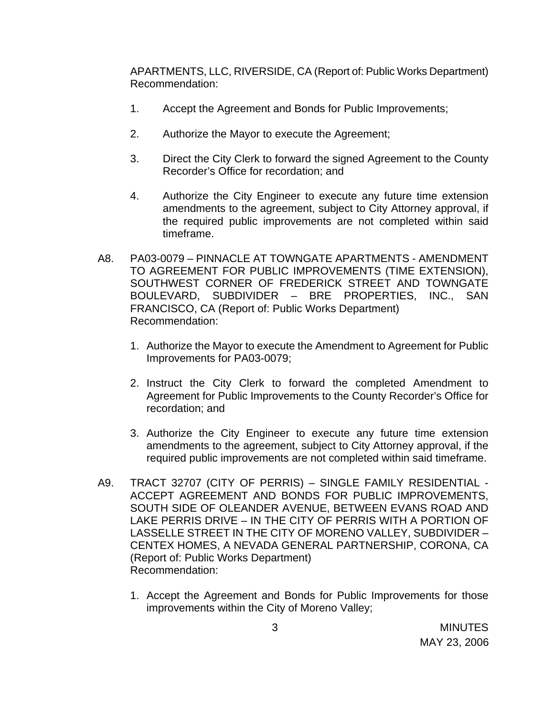APARTMENTS, LLC, RIVERSIDE, CA (Report of: Public Works Department) Recommendation:

- 1. Accept the Agreement and Bonds for Public Improvements;
- 2. Authorize the Mayor to execute the Agreement;
- 3. Direct the City Clerk to forward the signed Agreement to the County Recorder's Office for recordation; and
- 4. Authorize the City Engineer to execute any future time extension amendments to the agreement, subject to City Attorney approval, if the required public improvements are not completed within said timeframe.
- A8. PA03-0079 PINNACLE AT TOWNGATE APARTMENTS AMENDMENT TO AGREEMENT FOR PUBLIC IMPROVEMENTS (TIME EXTENSION), SOUTHWEST CORNER OF FREDERICK STREET AND TOWNGATE BOULEVARD, SUBDIVIDER – BRE PROPERTIES, INC., SAN FRANCISCO, CA (Report of: Public Works Department) Recommendation:
	- 1. Authorize the Mayor to execute the Amendment to Agreement for Public Improvements for PA03-0079;
	- 2. Instruct the City Clerk to forward the completed Amendment to Agreement for Public Improvements to the County Recorder's Office for recordation; and
	- 3. Authorize the City Engineer to execute any future time extension amendments to the agreement, subject to City Attorney approval, if the required public improvements are not completed within said timeframe.
- A9. TRACT 32707 (CITY OF PERRIS) SINGLE FAMILY RESIDENTIAL ACCEPT AGREEMENT AND BONDS FOR PUBLIC IMPROVEMENTS, SOUTH SIDE OF OLEANDER AVENUE, BETWEEN EVANS ROAD AND LAKE PERRIS DRIVE – IN THE CITY OF PERRIS WITH A PORTION OF LASSELLE STREET IN THE CITY OF MORENO VALLEY, SUBDIVIDER – CENTEX HOMES, A NEVADA GENERAL PARTNERSHIP, CORONA, CA (Report of: Public Works Department) Recommendation:
	- 1. Accept the Agreement and Bonds for Public Improvements for those improvements within the City of Moreno Valley;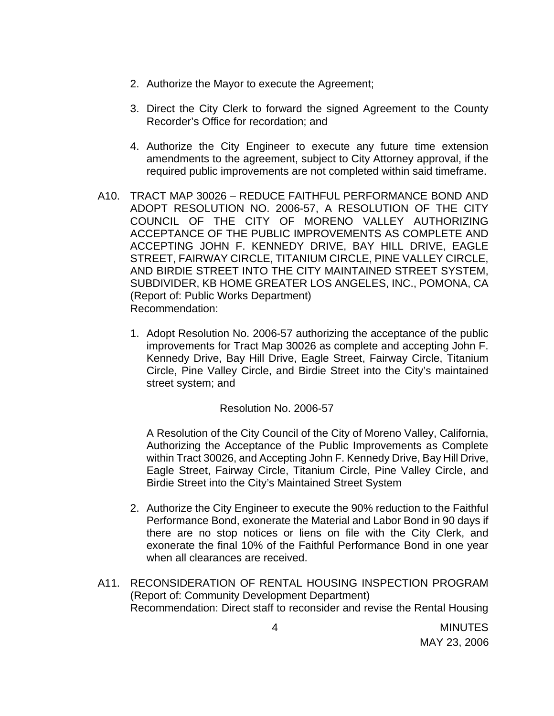- 2. Authorize the Mayor to execute the Agreement;
- 3. Direct the City Clerk to forward the signed Agreement to the County Recorder's Office for recordation; and
- 4. Authorize the City Engineer to execute any future time extension amendments to the agreement, subject to City Attorney approval, if the required public improvements are not completed within said timeframe.
- A10. TRACT MAP 30026 REDUCE FAITHFUL PERFORMANCE BOND AND ADOPT RESOLUTION NO. 2006-57, A RESOLUTION OF THE CITY COUNCIL OF THE CITY OF MORENO VALLEY AUTHORIZING ACCEPTANCE OF THE PUBLIC IMPROVEMENTS AS COMPLETE AND ACCEPTING JOHN F. KENNEDY DRIVE, BAY HILL DRIVE, EAGLE STREET, FAIRWAY CIRCLE, TITANIUM CIRCLE, PINE VALLEY CIRCLE, AND BIRDIE STREET INTO THE CITY MAINTAINED STREET SYSTEM, SUBDIVIDER, KB HOME GREATER LOS ANGELES, INC., POMONA, CA (Report of: Public Works Department) Recommendation:
	- 1. Adopt Resolution No. 2006-57 authorizing the acceptance of the public improvements for Tract Map 30026 as complete and accepting John F. Kennedy Drive, Bay Hill Drive, Eagle Street, Fairway Circle, Titanium Circle, Pine Valley Circle, and Birdie Street into the City's maintained street system; and

### Resolution No. 2006-57

A Resolution of the City Council of the City of Moreno Valley, California, Authorizing the Acceptance of the Public Improvements as Complete within Tract 30026, and Accepting John F. Kennedy Drive, Bay Hill Drive, Eagle Street, Fairway Circle, Titanium Circle, Pine Valley Circle, and Birdie Street into the City's Maintained Street System

- 2. Authorize the City Engineer to execute the 90% reduction to the Faithful Performance Bond, exonerate the Material and Labor Bond in 90 days if there are no stop notices or liens on file with the City Clerk, and exonerate the final 10% of the Faithful Performance Bond in one year when all clearances are received.
- A11. RECONSIDERATION OF RENTAL HOUSING INSPECTION PROGRAM (Report of: Community Development Department) Recommendation: Direct staff to reconsider and revise the Rental Housing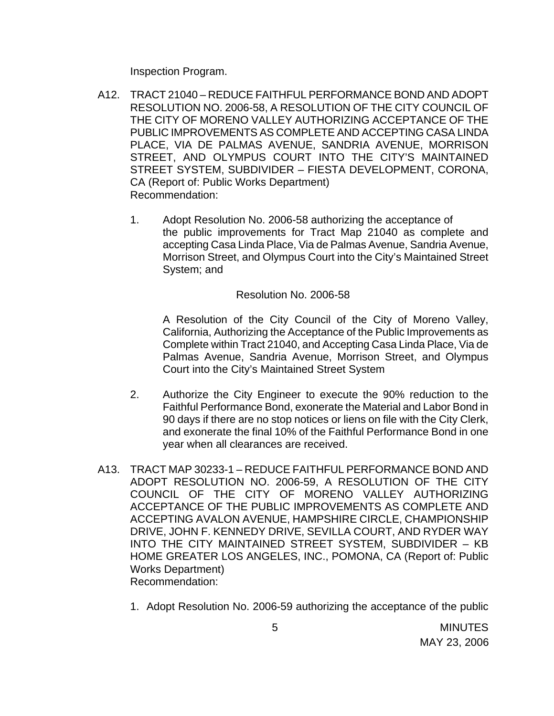Inspection Program.

- A12. TRACT 21040 REDUCE FAITHFUL PERFORMANCE BOND AND ADOPT RESOLUTION NO. 2006-58, A RESOLUTION OF THE CITY COUNCIL OF THE CITY OF MORENO VALLEY AUTHORIZING ACCEPTANCE OF THE PUBLIC IMPROVEMENTS AS COMPLETE AND ACCEPTING CASA LINDA PLACE, VIA DE PALMAS AVENUE, SANDRIA AVENUE, MORRISON STREET, AND OLYMPUS COURT INTO THE CITY'S MAINTAINED STREET SYSTEM, SUBDIVIDER – FIESTA DEVELOPMENT, CORONA, CA (Report of: Public Works Department) Recommendation:
	- 1. Adopt Resolution No. 2006-58 authorizing the acceptance of the public improvements for Tract Map 21040 as complete and accepting Casa Linda Place, Via de Palmas Avenue, Sandria Avenue, Morrison Street, and Olympus Court into the City's Maintained Street System; and

#### Resolution No. 2006-58

A Resolution of the City Council of the City of Moreno Valley, California, Authorizing the Acceptance of the Public Improvements as Complete within Tract 21040, and Accepting Casa Linda Place, Via de Palmas Avenue, Sandria Avenue, Morrison Street, and Olympus Court into the City's Maintained Street System

- 2. Authorize the City Engineer to execute the 90% reduction to the Faithful Performance Bond, exonerate the Material and Labor Bond in 90 days if there are no stop notices or liens on file with the City Clerk, and exonerate the final 10% of the Faithful Performance Bond in one year when all clearances are received.
- A13. TRACT MAP 30233-1 REDUCE FAITHFUL PERFORMANCE BOND AND ADOPT RESOLUTION NO. 2006-59, A RESOLUTION OF THE CITY COUNCIL OF THE CITY OF MORENO VALLEY AUTHORIZING ACCEPTANCE OF THE PUBLIC IMPROVEMENTS AS COMPLETE AND ACCEPTING AVALON AVENUE, HAMPSHIRE CIRCLE, CHAMPIONSHIP DRIVE, JOHN F. KENNEDY DRIVE, SEVILLA COURT, AND RYDER WAY INTO THE CITY MAINTAINED STREET SYSTEM, SUBDIVIDER – KB HOME GREATER LOS ANGELES, INC., POMONA, CA (Report of: Public Works Department) Recommendation:
	- 1. Adopt Resolution No. 2006-59 authorizing the acceptance of the public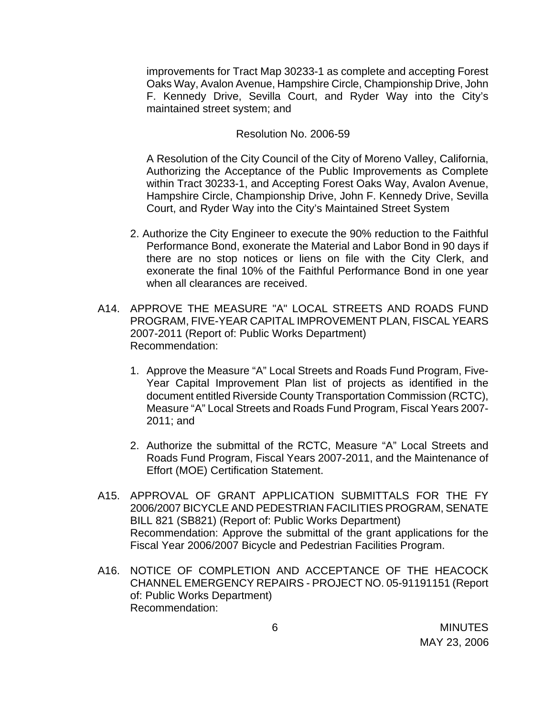improvements for Tract Map 30233-1 as complete and accepting Forest Oaks Way, Avalon Avenue, Hampshire Circle, Championship Drive, John F. Kennedy Drive, Sevilla Court, and Ryder Way into the City's maintained street system; and

#### Resolution No. 2006-59

 A Resolution of the City Council of the City of Moreno Valley, California, Authorizing the Acceptance of the Public Improvements as Complete within Tract 30233-1, and Accepting Forest Oaks Way, Avalon Avenue, Hampshire Circle, Championship Drive, John F. Kennedy Drive, Sevilla Court, and Ryder Way into the City's Maintained Street System

- 2. Authorize the City Engineer to execute the 90% reduction to the Faithful Performance Bond, exonerate the Material and Labor Bond in 90 days if there are no stop notices or liens on file with the City Clerk, and exonerate the final 10% of the Faithful Performance Bond in one year when all clearances are received.
- A14. APPROVE THE MEASURE "A" LOCAL STREETS AND ROADS FUND PROGRAM, FIVE-YEAR CAPITAL IMPROVEMENT PLAN, FISCAL YEARS 2007-2011 (Report of: Public Works Department) Recommendation:
	- 1. Approve the Measure "A" Local Streets and Roads Fund Program, Five-Year Capital Improvement Plan list of projects as identified in the document entitled Riverside County Transportation Commission (RCTC), Measure "A" Local Streets and Roads Fund Program, Fiscal Years 2007- 2011; and
	- 2. Authorize the submittal of the RCTC, Measure "A" Local Streets and Roads Fund Program, Fiscal Years 2007-2011, and the Maintenance of Effort (MOE) Certification Statement.
- A15. APPROVAL OF GRANT APPLICATION SUBMITTALS FOR THE FY 2006/2007 BICYCLE AND PEDESTRIAN FACILITIES PROGRAM, SENATE BILL 821 (SB821) (Report of: Public Works Department) Recommendation: Approve the submittal of the grant applications for the Fiscal Year 2006/2007 Bicycle and Pedestrian Facilities Program.
- A16. NOTICE OF COMPLETION AND ACCEPTANCE OF THE HEACOCK CHANNEL EMERGENCY REPAIRS - PROJECT NO. 05-91191151 (Report of: Public Works Department) Recommendation: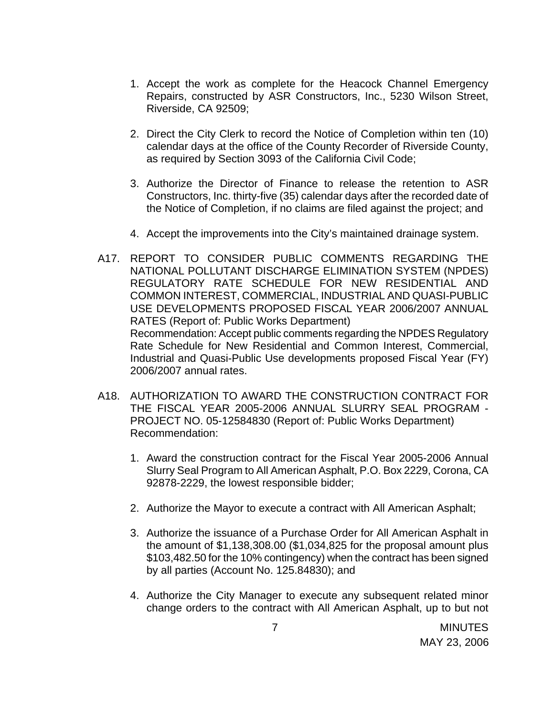- 1. Accept the work as complete for the Heacock Channel Emergency Repairs, constructed by ASR Constructors, Inc., 5230 Wilson Street, Riverside, CA 92509;
- 2. Direct the City Clerk to record the Notice of Completion within ten (10) calendar days at the office of the County Recorder of Riverside County, as required by Section 3093 of the California Civil Code;
- 3. Authorize the Director of Finance to release the retention to ASR Constructors, Inc. thirty-five (35) calendar days after the recorded date of the Notice of Completion, if no claims are filed against the project; and
- 4. Accept the improvements into the City's maintained drainage system.
- A17. REPORT TO CONSIDER PUBLIC COMMENTS REGARDING THE NATIONAL POLLUTANT DISCHARGE ELIMINATION SYSTEM (NPDES) REGULATORY RATE SCHEDULE FOR NEW RESIDENTIAL AND COMMON INTEREST, COMMERCIAL, INDUSTRIAL AND QUASI-PUBLIC USE DEVELOPMENTS PROPOSED FISCAL YEAR 2006/2007 ANNUAL RATES (Report of: Public Works Department) Recommendation: Accept public comments regarding the NPDES Regulatory Rate Schedule for New Residential and Common Interest, Commercial, Industrial and Quasi-Public Use developments proposed Fiscal Year (FY) 2006/2007 annual rates.
- A18. AUTHORIZATION TO AWARD THE CONSTRUCTION CONTRACT FOR THE FISCAL YEAR 2005-2006 ANNUAL SLURRY SEAL PROGRAM - PROJECT NO. 05-12584830 (Report of: Public Works Department) Recommendation:
	- 1. Award the construction contract for the Fiscal Year 2005-2006 Annual Slurry Seal Program to All American Asphalt, P.O. Box 2229, Corona, CA 92878-2229, the lowest responsible bidder;
	- 2. Authorize the Mayor to execute a contract with All American Asphalt;
	- 3. Authorize the issuance of a Purchase Order for All American Asphalt in the amount of \$1,138,308.00 (\$1,034,825 for the proposal amount plus \$103,482.50 for the 10% contingency) when the contract has been signed by all parties (Account No. 125.84830); and
	- 4. Authorize the City Manager to execute any subsequent related minor change orders to the contract with All American Asphalt, up to but not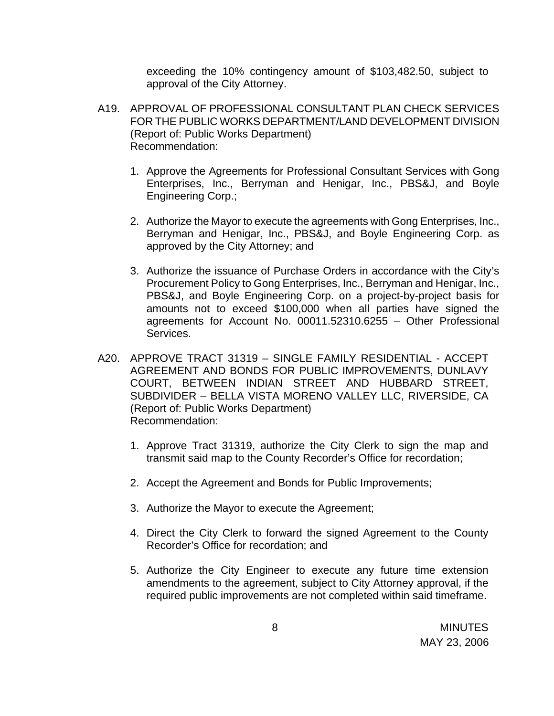exceeding the 10% contingency amount of \$103,482.50, subject to approval of the City Attorney.

- A19. APPROVAL OF PROFESSIONAL CONSULTANT PLAN CHECK SERVICES FOR THE PUBLIC WORKS DEPARTMENT/LAND DEVELOPMENT DIVISION (Report of: Public Works Department) Recommendation:
	- 1. Approve the Agreements for Professional Consultant Services with Gong Enterprises, Inc., Berryman and Henigar, Inc., PBS&J, and Boyle Engineering Corp.;
	- 2. Authorize the Mayor to execute the agreements with Gong Enterprises, Inc., Berryman and Henigar, Inc., PBS&J, and Boyle Engineering Corp. as approved by the City Attorney; and
	- 3. Authorize the issuance of Purchase Orders in accordance with the City's Procurement Policy to Gong Enterprises, Inc., Berryman and Henigar, Inc., PBS&J, and Boyle Engineering Corp. on a project-by-project basis for amounts not to exceed \$100,000 when all parties have signed the agreements for Account No. 00011.52310.6255 – Other Professional Services.
- A20. APPROVE TRACT 31319 SINGLE FAMILY RESIDENTIAL ACCEPT AGREEMENT AND BONDS FOR PUBLIC IMPROVEMENTS, DUNLAVY COURT, BETWEEN INDIAN STREET AND HUBBARD STREET, SUBDIVIDER – BELLA VISTA MORENO VALLEY LLC, RIVERSIDE, CA (Report of: Public Works Department) Recommendation:
	- 1. Approve Tract 31319, authorize the City Clerk to sign the map and transmit said map to the County Recorder's Office for recordation;
	- 2. Accept the Agreement and Bonds for Public Improvements;
	- 3. Authorize the Mayor to execute the Agreement;
	- 4. Direct the City Clerk to forward the signed Agreement to the County Recorder's Office for recordation; and
	- 5. Authorize the City Engineer to execute any future time extension amendments to the agreement, subject to City Attorney approval, if the required public improvements are not completed within said timeframe.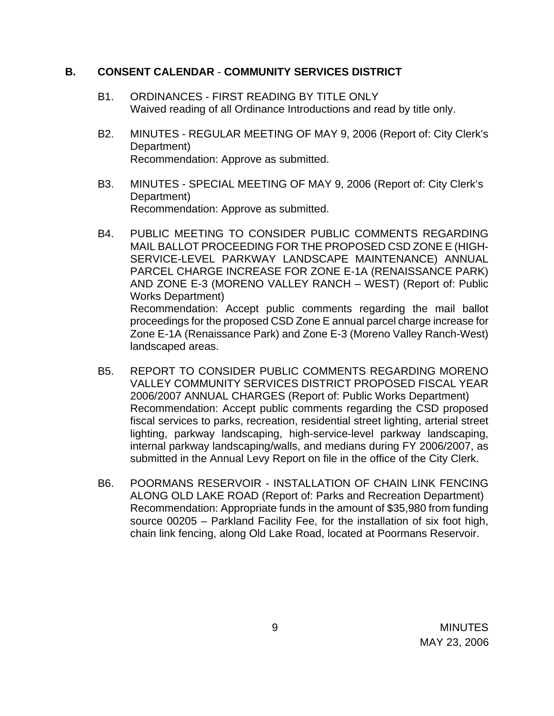## **B. CONSENT CALENDAR** - **COMMUNITY SERVICES DISTRICT**

- B1. ORDINANCES FIRST READING BY TITLE ONLY Waived reading of all Ordinance Introductions and read by title only.
- B2. MINUTES REGULAR MEETING OF MAY 9, 2006 (Report of: City Clerk's Department) Recommendation: Approve as submitted.
- B3. MINUTES SPECIAL MEETING OF MAY 9, 2006 (Report of: City Clerk's Department) Recommendation: Approve as submitted.
- B4. PUBLIC MEETING TO CONSIDER PUBLIC COMMENTS REGARDING MAIL BALLOT PROCEEDING FOR THE PROPOSED CSD ZONE E (HIGH-SERVICE-LEVEL PARKWAY LANDSCAPE MAINTENANCE) ANNUAL PARCEL CHARGE INCREASE FOR ZONE E-1A (RENAISSANCE PARK) AND ZONE E-3 (MORENO VALLEY RANCH – WEST) (Report of: Public Works Department) Recommendation: Accept public comments regarding the mail ballot proceedings for the proposed CSD Zone E annual parcel charge increase for Zone E-1A (Renaissance Park) and Zone E-3 (Moreno Valley Ranch-West) landscaped areas.
- B5. REPORT TO CONSIDER PUBLIC COMMENTS REGARDING MORENO VALLEY COMMUNITY SERVICES DISTRICT PROPOSED FISCAL YEAR 2006/2007 ANNUAL CHARGES (Report of: Public Works Department) Recommendation: Accept public comments regarding the CSD proposed fiscal services to parks, recreation, residential street lighting, arterial street lighting, parkway landscaping, high-service-level parkway landscaping, internal parkway landscaping/walls, and medians during FY 2006/2007, as submitted in the Annual Levy Report on file in the office of the City Clerk.
- B6. POORMANS RESERVOIR INSTALLATION OF CHAIN LINK FENCING ALONG OLD LAKE ROAD (Report of: Parks and Recreation Department) Recommendation: Appropriate funds in the amount of \$35,980 from funding source 00205 – Parkland Facility Fee, for the installation of six foot high, chain link fencing, along Old Lake Road, located at Poormans Reservoir.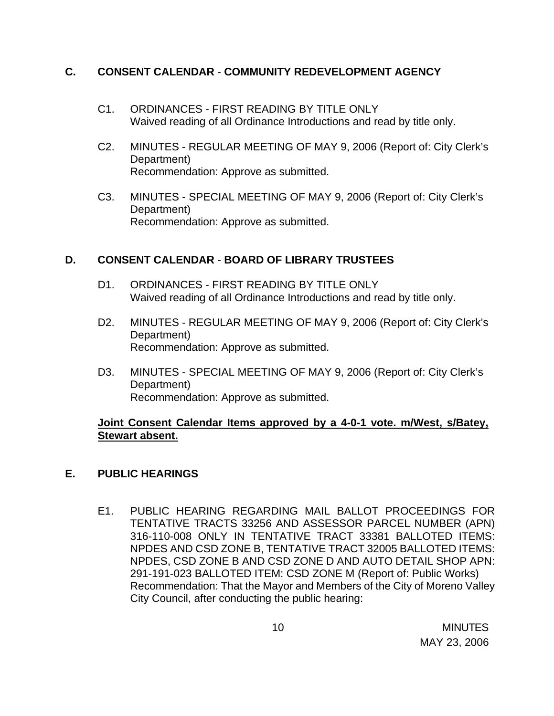## **C. CONSENT CALENDAR** - **COMMUNITY REDEVELOPMENT AGENCY**

- C1. ORDINANCES FIRST READING BY TITLE ONLY Waived reading of all Ordinance Introductions and read by title only.
- C2. MINUTES REGULAR MEETING OF MAY 9, 2006 (Report of: City Clerk's Department) Recommendation: Approve as submitted.
- C3. MINUTES SPECIAL MEETING OF MAY 9, 2006 (Report of: City Clerk's Department) Recommendation: Approve as submitted.

## **D. CONSENT CALENDAR** - **BOARD OF LIBRARY TRUSTEES**

- D1. ORDINANCES FIRST READING BY TITLE ONLY Waived reading of all Ordinance Introductions and read by title only.
- D2. MINUTES REGULAR MEETING OF MAY 9, 2006 (Report of: City Clerk's Department) Recommendation: Approve as submitted.
- D3. MINUTES SPECIAL MEETING OF MAY 9, 2006 (Report of: City Clerk's Department) Recommendation: Approve as submitted.

## **Joint Consent Calendar Items approved by a 4-0-1 vote. m/West, s/Batey, Stewart absent.**

## **E. PUBLIC HEARINGS**

E1. PUBLIC HEARING REGARDING MAIL BALLOT PROCEEDINGS FOR TENTATIVE TRACTS 33256 AND ASSESSOR PARCEL NUMBER (APN) 316-110-008 ONLY IN TENTATIVE TRACT 33381 BALLOTED ITEMS: NPDES AND CSD ZONE B, TENTATIVE TRACT 32005 BALLOTED ITEMS: NPDES, CSD ZONE B AND CSD ZONE D AND AUTO DETAIL SHOP APN: 291-191-023 BALLOTED ITEM: CSD ZONE M (Report of: Public Works) Recommendation: That the Mayor and Members of the City of Moreno Valley City Council, after conducting the public hearing: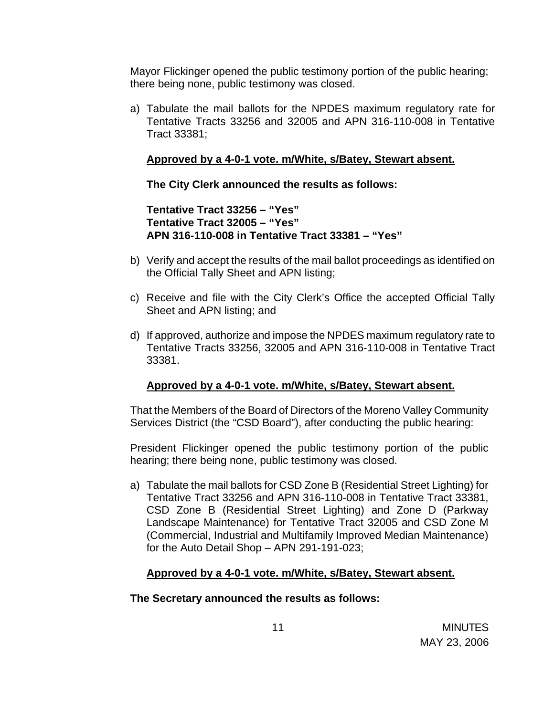Mayor Flickinger opened the public testimony portion of the public hearing; there being none, public testimony was closed.

a) Tabulate the mail ballots for the NPDES maximum regulatory rate for Tentative Tracts 33256 and 32005 and APN 316-110-008 in Tentative Tract 33381;

## **Approved by a 4-0-1 vote. m/White, s/Batey, Stewart absent.**

 **The City Clerk announced the results as follows:** 

 **Tentative Tract 33256 – "Yes" Tentative Tract 32005 – "Yes" APN 316-110-008 in Tentative Tract 33381 – "Yes"** 

- b) Verify and accept the results of the mail ballot proceedings as identified on the Official Tally Sheet and APN listing;
- c) Receive and file with the City Clerk's Office the accepted Official Tally Sheet and APN listing; and
- d) If approved, authorize and impose the NPDES maximum regulatory rate to Tentative Tracts 33256, 32005 and APN 316-110-008 in Tentative Tract 33381.

## **Approved by a 4-0-1 vote. m/White, s/Batey, Stewart absent.**

 That the Members of the Board of Directors of the Moreno Valley Community Services District (the "CSD Board"), after conducting the public hearing:

 President Flickinger opened the public testimony portion of the public hearing; there being none, public testimony was closed.

a) Tabulate the mail ballots for CSD Zone B (Residential Street Lighting) for Tentative Tract 33256 and APN 316-110-008 in Tentative Tract 33381, CSD Zone B (Residential Street Lighting) and Zone D (Parkway Landscape Maintenance) for Tentative Tract 32005 and CSD Zone M (Commercial, Industrial and Multifamily Improved Median Maintenance) for the Auto Detail Shop – APN 291-191-023;

### **Approved by a 4-0-1 vote. m/White, s/Batey, Stewart absent.**

### **The Secretary announced the results as follows:**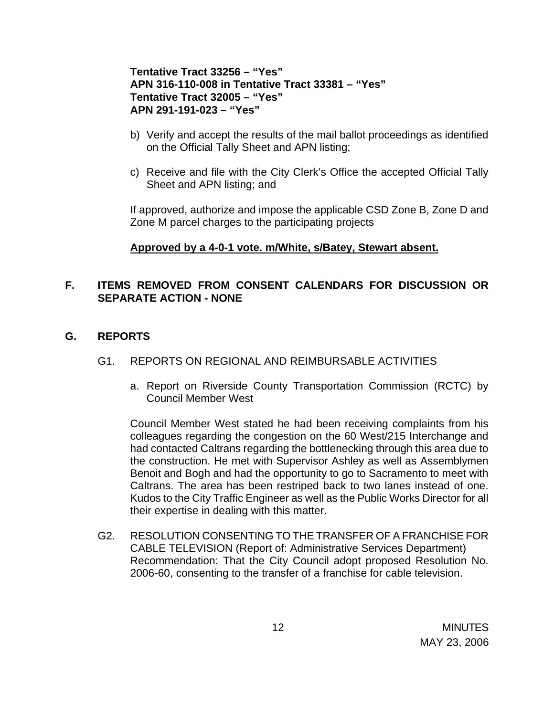## **Tentative Tract 33256 – "Yes" APN 316-110-008 in Tentative Tract 33381 – "Yes" Tentative Tract 32005 – "Yes" APN 291-191-023 – "Yes"**

- b) Verify and accept the results of the mail ballot proceedings as identified on the Official Tally Sheet and APN listing;
- c) Receive and file with the City Clerk's Office the accepted Official Tally Sheet and APN listing; and

 If approved, authorize and impose the applicable CSD Zone B, Zone D and Zone M parcel charges to the participating projects

### **Approved by a 4-0-1 vote. m/White, s/Batey, Stewart absent.**

## **F. ITEMS REMOVED FROM CONSENT CALENDARS FOR DISCUSSION OR SEPARATE ACTION - NONE**

### **G. REPORTS**

- G1. REPORTS ON REGIONAL AND REIMBURSABLE ACTIVITIES
	- a. Report on Riverside County Transportation Commission (RCTC) by Council Member West

 Council Member West stated he had been receiving complaints from his colleagues regarding the congestion on the 60 West/215 Interchange and had contacted Caltrans regarding the bottlenecking through this area due to the construction. He met with Supervisor Ashley as well as Assemblymen Benoit and Bogh and had the opportunity to go to Sacramento to meet with Caltrans. The area has been restriped back to two lanes instead of one. Kudos to the City Traffic Engineer as well as the Public Works Director for all their expertise in dealing with this matter.

G2. RESOLUTION CONSENTING TO THE TRANSFER OF A FRANCHISE FOR CABLE TELEVISION (Report of: Administrative Services Department) Recommendation: That the City Council adopt proposed Resolution No. 2006-60, consenting to the transfer of a franchise for cable television.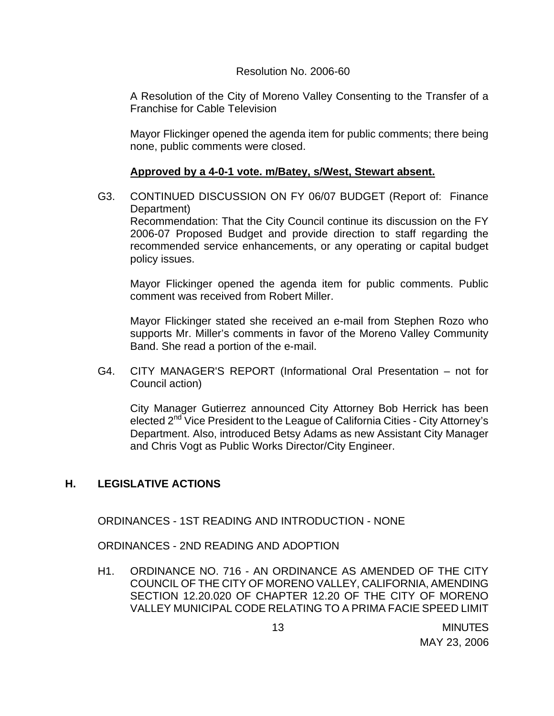#### Resolution No. 2006-60

A Resolution of the City of Moreno Valley Consenting to the Transfer of a Franchise for Cable Television

 Mayor Flickinger opened the agenda item for public comments; there being none, public comments were closed.

### **Approved by a 4-0-1 vote. m/Batey, s/West, Stewart absent.**

G3. CONTINUED DISCUSSION ON FY 06/07 BUDGET (Report of: Finance Department)

Recommendation: That the City Council continue its discussion on the FY 2006-07 Proposed Budget and provide direction to staff regarding the recommended service enhancements, or any operating or capital budget policy issues.

 Mayor Flickinger opened the agenda item for public comments. Public comment was received from Robert Miller.

 Mayor Flickinger stated she received an e-mail from Stephen Rozo who supports Mr. Miller's comments in favor of the Moreno Valley Community Band. She read a portion of the e-mail.

G4. CITY MANAGER'S REPORT (Informational Oral Presentation – not for Council action)

 City Manager Gutierrez announced City Attorney Bob Herrick has been elected  $2^{nd}$  Vice President to the League of California Cities - City Attorney's Department. Also, introduced Betsy Adams as new Assistant City Manager and Chris Vogt as Public Works Director/City Engineer.

## **H. LEGISLATIVE ACTIONS**

ORDINANCES - 1ST READING AND INTRODUCTION - NONE

ORDINANCES - 2ND READING AND ADOPTION

H1. ORDINANCE NO. 716 - AN ORDINANCE AS AMENDED OF THE CITY COUNCIL OF THE CITY OF MORENO VALLEY, CALIFORNIA, AMENDING SECTION 12.20.020 OF CHAPTER 12.20 OF THE CITY OF MORENO VALLEY MUNICIPAL CODE RELATING TO A PRIMA FACIE SPEED LIMIT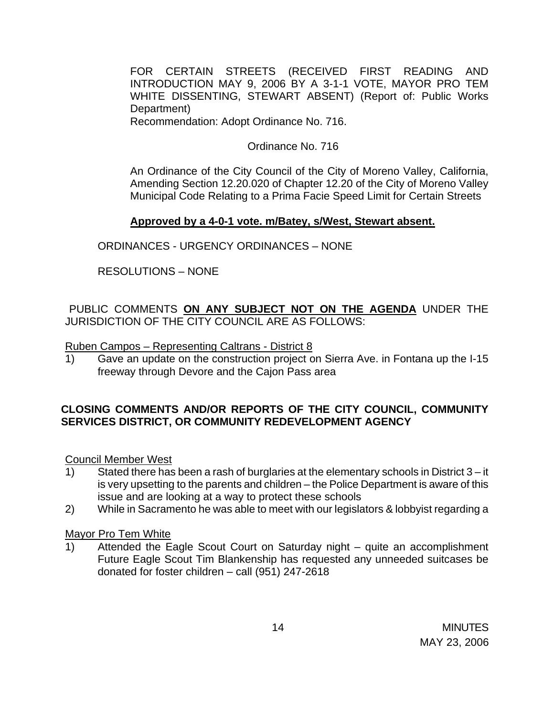FOR CERTAIN STREETS (RECEIVED FIRST READING AND INTRODUCTION MAY 9, 2006 BY A 3-1-1 VOTE, MAYOR PRO TEM WHITE DISSENTING, STEWART ABSENT) (Report of: Public Works Department)

Recommendation: Adopt Ordinance No. 716.

Ordinance No. 716

An Ordinance of the City Council of the City of Moreno Valley, California, Amending Section 12.20.020 of Chapter 12.20 of the City of Moreno Valley Municipal Code Relating to a Prima Facie Speed Limit for Certain Streets

## **Approved by a 4-0-1 vote. m/Batey, s/West, Stewart absent.**

ORDINANCES - URGENCY ORDINANCES – NONE

RESOLUTIONS – NONE

PUBLIC COMMENTS **ON ANY SUBJECT NOT ON THE AGENDA** UNDER THE JURISDICTION OF THE CITY COUNCIL ARE AS FOLLOWS:

Ruben Campos – Representing Caltrans - District 8

1) Gave an update on the construction project on Sierra Ave. in Fontana up the I-15 freeway through Devore and the Cajon Pass area

## **CLOSING COMMENTS AND/OR REPORTS OF THE CITY COUNCIL, COMMUNITY SERVICES DISTRICT, OR COMMUNITY REDEVELOPMENT AGENCY**

Council Member West

- 1) Stated there has been a rash of burglaries at the elementary schools in District 3 it is very upsetting to the parents and children – the Police Department is aware of this issue and are looking at a way to protect these schools
- 2) While in Sacramento he was able to meet with our legislators & lobbyist regarding a

### Mayor Pro Tem White

1) Attended the Eagle Scout Court on Saturday night – quite an accomplishment Future Eagle Scout Tim Blankenship has requested any unneeded suitcases be donated for foster children – call (951) 247-2618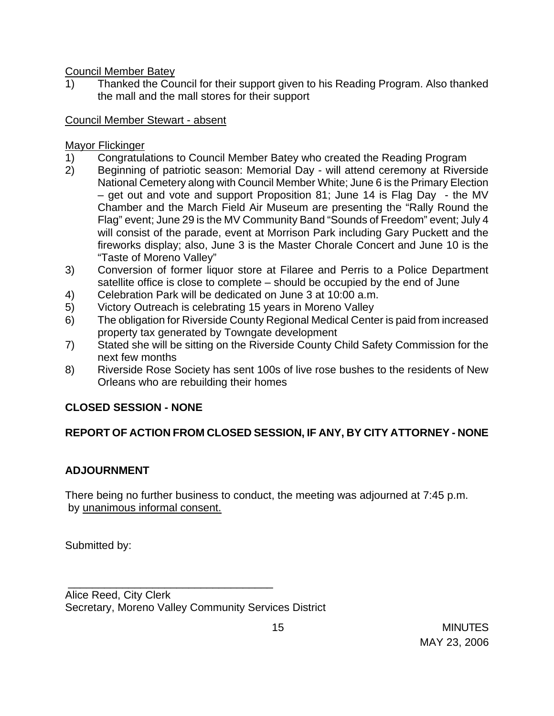Council Member Batey

1) Thanked the Council for their support given to his Reading Program. Also thanked the mall and the mall stores for their support

## Council Member Stewart - absent

## Mayor Flickinger

- 1) Congratulations to Council Member Batey who created the Reading Program
- 2) Beginning of patriotic season: Memorial Day will attend ceremony at Riverside National Cemetery along with Council Member White; June 6 is the Primary Election – get out and vote and support Proposition 81; June 14 is Flag Day - the MV Chamber and the March Field Air Museum are presenting the "Rally Round the Flag" event; June 29 is the MV Community Band "Sounds of Freedom" event; July 4 will consist of the parade, event at Morrison Park including Gary Puckett and the fireworks display; also, June 3 is the Master Chorale Concert and June 10 is the "Taste of Moreno Valley"
- 3) Conversion of former liquor store at Filaree and Perris to a Police Department satellite office is close to complete – should be occupied by the end of June
- 4) Celebration Park will be dedicated on June 3 at 10:00 a.m.
- 5) Victory Outreach is celebrating 15 years in Moreno Valley
- 6) The obligation for Riverside County Regional Medical Center is paid from increased property tax generated by Towngate development
- 7) Stated she will be sitting on the Riverside County Child Safety Commission for the next few months
- 8) Riverside Rose Society has sent 100s of live rose bushes to the residents of New Orleans who are rebuilding their homes

# **CLOSED SESSION - NONE**

## **REPORT OF ACTION FROM CLOSED SESSION, IF ANY, BY CITY ATTORNEY - NONE**

## **ADJOURNMENT**

There being no further business to conduct, the meeting was adjourned at 7:45 p.m. by unanimous informal consent.

Submitted by:

\_\_\_\_\_\_\_\_\_\_\_\_\_\_\_\_\_\_\_\_\_\_\_\_\_\_\_\_\_\_\_\_\_\_